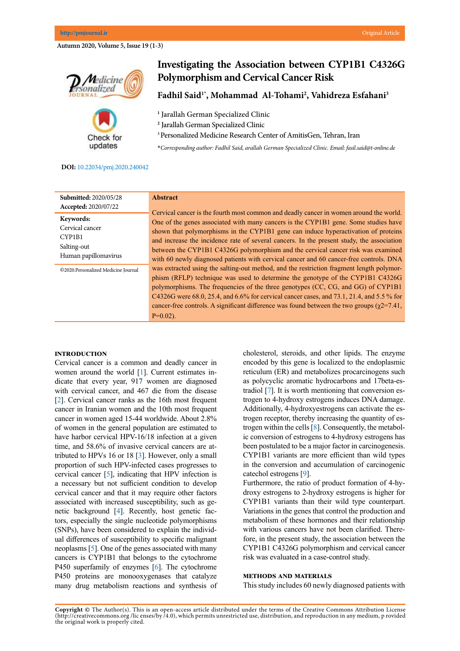**Autumn 2020, Volume 5, Issue 19 (1-3)**



Check for updates

# **Investigating the Association between CYP1B1 C4326G Polymorphism and Cervical Cancer Risk**

**Fadhil Said1\*, Mohammad Al-Tohami2 , Vahidreza Esfahani3**

**1** Jarallah German Specialized Clinic

**2** Jarallah German Specialized Clinic

3 Personalized Medicine Research Center of AmitisGen, Tehran, Iran

**\****Corresponding author: Fadhil Said, arallah German Specialized Clinic. Email: fasil.said@t-online.de*

## **DOI:**[10.22034/pmj.2020.240042](http://10.22034/pmj.2020.240042)

| <b>Submitted: 2020/05/28</b>        | <b>Abstract</b>                                                                                                                                                                                                                                                                                                                                                                                                                                                                  |
|-------------------------------------|----------------------------------------------------------------------------------------------------------------------------------------------------------------------------------------------------------------------------------------------------------------------------------------------------------------------------------------------------------------------------------------------------------------------------------------------------------------------------------|
| Accepted: 2020/07/22                | Cervical cancer is the fourth most common and deadly cancer in women around the world.                                                                                                                                                                                                                                                                                                                                                                                           |
| Keywords:                           | One of the genes associated with many cancers is the CYP1B1 gene. Some studies have                                                                                                                                                                                                                                                                                                                                                                                              |
| Cervical cancer                     | shown that polymorphisms in the CYP1B1 gene can induce hyperactivation of proteins                                                                                                                                                                                                                                                                                                                                                                                               |
| CYP1B1                              | and increase the incidence rate of several cancers. In the present study, the association                                                                                                                                                                                                                                                                                                                                                                                        |
| Salting-out                         | between the CYP1B1 C4326G polymorphism and the cervical cancer risk was examined                                                                                                                                                                                                                                                                                                                                                                                                 |
| Human papillomavirus                | with 60 newly diagnosed patients with cervical cancer and 60 cancer-free controls. DNA                                                                                                                                                                                                                                                                                                                                                                                           |
| ©2020.Personalized Medicine Journal | was extracted using the salting-out method, and the restriction fragment length polymor-<br>phism (RFLP) technique was used to determine the genotype of the CYP1B1 C4326G<br>polymorphisms. The frequencies of the three genotypes (CC, CG, and GG) of CYP1B1<br>C4326G were 68.0, 25.4, and 6.6% for cervical cancer cases, and 73.1, 21.4, and 5.5 % for<br>cancer-free controls. A significant difference was found between the two groups ( $\gamma$ 2=7.41,<br>$P=0.02$ ). |

## **Introduction**

Cervical cancer is a common and deadly cancer in women around the world [\[1\]](#page-1-0). Current estimates indicate that every year, 917 women are diagnosed with cervical cancer, and 467 die from the disease [\[2\]](#page-1-0). Cervical cancer ranks as the 16th most frequent cancer in Iranian women and the 10th most frequent cancer in women aged 15-44 worldwide. About 2.8% of women in the general population are estimated to have harbor cervical HPV-16/18 infection at a given time, and 58.6% of invasive cervical cancers are attributed to HPVs 16 or 18 [[3\]](#page-1-0). However, only a small proportion of such HPV-infected cases progresses to cervical cancer [[5\]](#page-1-0), indicating that HPV infection is a necessary but not sufficient condition to develop cervical cancer and that it may require other factors associated with increased susceptibility, such as genetic background [[4\]](#page-1-0). Recently, host genetic factors, especially the single nucleotide polymorphisms (SNPs), have been considered to explain the individual differences of susceptibility to specific malignant neoplasms [\[5](#page-1-0)]. One of the genes associated with many cancers is CYP1B1 that belongs to the [cytochrome](https://en.wikipedia.org/wiki/Cytochrome_P450)  [P450](https://en.wikipedia.org/wiki/Cytochrome_P450) superfamily of enzymes [\[6](#page-1-0)]. The cytochrome P450 proteins are monooxygenases that catalyze many drug metabolism reactions and synthesis of cholesterol, steroids, and other lipids. The enzyme encoded by this gene is localized to the endoplasmic reticulum [\(ER\)](https://en.wikipedia.org/wiki/Endoplasmic_reticulum) and metabolizes [procarcinogens](https://en.wikipedia.org/wiki/Procarcinogen) such as [polycyclic aromatic hydrocarbons](https://en.wikipedia.org/wiki/Polycyclic_aromatic_hydrocarbon) and [17beta-es](https://en.wikipedia.org/wiki/17beta-estradiol)[tradiol](https://en.wikipedia.org/wiki/17beta-estradiol) [\[7\]](#page-1-0). It is worth mentioning that conversion estrogen to 4-hydroxy estrogens induces DNA damage. Additionally, 4-hydroxyestrogens can activate the estrogen receptor, thereby increasing the quantity of estrogen within the cells [[8](#page-2-0)]. Consequently, the metabolic conversion of estrogens to 4-hydroxy estrogens has been postulated to be a major factor in carcinogenesis. CYP1B1 variants are more efficient than wild types in the conversion and accumulation of carcinogenic catechol estrogens [\[9\]](#page-2-0).

Furthermore, the ratio of product formation of 4-hydroxy estrogens to 2-hydroxy estrogens is higher for CYP1B1 variants than their wild type counterpart. Variations in the genes that control the production and metabolism of these hormones and their relationship with various cancers have not been clarified. Therefore, in the present study, the association between the CYP1B1 C4326G polymorphism and cervical cancer risk was evaluated in a case-control study.

#### **Methods and materials**

This study includes 60 newly diagnosed patients with

**Copyright ©** The Author(s). This is an open-access article distributed under the terms of the Creative Commons Attribution License (http://creativecommons.org /lic enses/by /4.0), which permits unrestricted use, distribution, and reproduction in any medium, p rovided the original work is properly cited.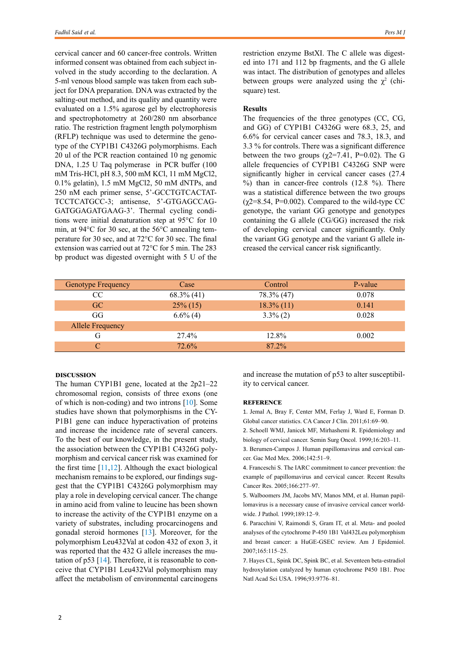<span id="page-1-0"></span>cervical cancer and 60 cancer-free controls. Written informed consent was obtained from each subject involved in the study according to the declaration. A 5-ml venous blood sample was taken from each subject for DNA preparation. DNA was extracted by the salting-out method, and its quality and quantity were evaluated on a 1.5% agarose gel by electrophoresis and spectrophotometry at 260/280 nm absorbance ratio. The restriction fragment length polymorphism (RFLP) technique was used to determine the genotype of the CYP1B1 C4326G polymorphisms. Each 20 ul of the PCR reaction contained 10 ng genomic DNA, 1.25 U Taq polymerase in PCR buffer (100 mM Tris-HCl, pH 8.3, 500 mM KCl, 11 mM MgCl2, 0.1% gelatin), 1.5 mM MgCl2, 50 mM dNTPs, and 250 nM each primer sense, 5'-GCCTGTCACTAT-TCCTCATGCC-3; antisense, 5'-GTGAGCCAG-GATGGAGATGAAG-3'. Thermal cycling conditions were initial denaturation step at 95°C for 10 min, at 94°C for 30 sec, at the 56°C annealing temperature for 30 sec, and at 72°C for 30 sec. The final extension was carried out at 72°C for 5 min. The 283 bp product was digested overnight with 5 U of the restriction enzyme BstXI. The C allele was digested into 171 and 112 bp fragments, and the G allele was intact. The distribution of genotypes and alleles between groups were analyzed using the  $\chi^2$  (chisquare) test.

## **Results**

The frequencies of the three genotypes (CC, CG, and GG) of CYP1B1 C4326G were 68.3, 25, and 6.6% for cervical cancer cases and 78.3, 18.3, and 3.3 % for controls. There was a significant difference between the two groups ( $\chi$ 2=7.41, P=0.02). The G allele frequencies of CYP1B1 C4326G SNP were significantly higher in cervical cancer cases (27.4  $%$ ) than in cancer-free controls (12.8 %). There was a statistical difference between the two groups  $(\gamma 2=8.54, P=0.002)$ . Compared to the wild-type CC genotype, the variant GG genotype and genotypes containing the G allele (CG/GG) increased the risk of developing cervical cancer significantly. Only the variant GG genotype and the variant G allele increased the cervical cancer risk significantly.

| <b>Genotype Frequency</b> | Case          | Control       | P-value |
|---------------------------|---------------|---------------|---------|
| <b>CC</b>                 | $68.3\%$ (41) | 78.3% (47)    | 0.078   |
| GC.                       | $25\%$ (15)   | $18.3\%$ (11) | 0.141   |
| GG                        | $6.6\%$ (4)   | $3.3\%$ (2)   | 0.028   |
| <b>Allele Frequency</b>   |               |               |         |
| G                         | 27.4%         | 12.8%         | 0.002   |
|                           | 72.6%         | 87.2%         |         |

### **Discussion**

The human CYP1B1 gene, located at the 2p21–22 chromosomal region, consists of three exons (one of which is non-coding) and two introns [\[10](#page-2-0)]. Some studies have shown that polymorphisms in the CY-P1B1 gene can induce hyperactivation of proteins and increase the incidence rate of several cancers. To the best of our knowledge, in the present study, the association between the CYP1B1 C4326G polymorphism and cervical cancer risk was examined for the first time  $[11,12]$  $[11,12]$  $[11,12]$ . Although the exact biological mechanism remains to be explored, our findings suggest that the CYP1B1 C4326G polymorphism may play a role in developing cervical cancer. The change in amino acid from valine to leucine has been shown to increase the activity of the CYP1B1 enzyme on a variety of substrates, including procarcinogens and gonadal steroid hormones [[13\]](#page-2-0). Moreover, for the polymorphism Leu432Val at codon 432 of exon 3, it was reported that the 432 G allele increases the mutation of p53 [[14\]](#page-2-0). Therefore, it is reasonable to conceive that CYP1B1 Leu432Val polymorphism may affect the metabolism of environmental carcinogens and increase the mutation of p53 to alter susceptibility to cervical cancer.

#### **Reference**

1. Jemal A, Bray F, Center MM, Ferlay J, Ward E, Forman D. Global cancer statistics. CA Cancer J Clin. 2011;61:69–90.

2. Schoell WMJ, Janicek MF, Mirhashemi R. Epidemiology and biology of cervical cancer. Semin Surg Oncol. 1999;16:203–11.

3. Berumen-Campos J. Human papillomavirus and cervical cancer. Gac Med Mex. 2006;142:51–9.

4. Franceschi S. The IARC commitment to cancer prevention: the example of papillomavirus and cervical cancer. Recent Results Cancer Res. 2005;166:277–97.

5. Walboomers JM, Jacobs MV, Manos MM, et al. Human papillomavirus is a necessary cause of invasive cervical cancer worldwide. J Pathol. 1999;189:12–9.

6. Paracchini V, Raimondi S, Gram IT, et al. Meta- and pooled analyses of the cytochrome P-450 1B1 Val432Leu polymorphism and breast cancer: a HuGE-GSEC review. Am J Epidemiol. 2007;165:115–25.

7. Hayes CL, Spink DC, Spink BC, et al. Seventeen beta-estradiol hydroxylation catalyzed by human cytochrome P450 1B1. Proc Natl Acad Sci USA. 1996;93:9776–81.